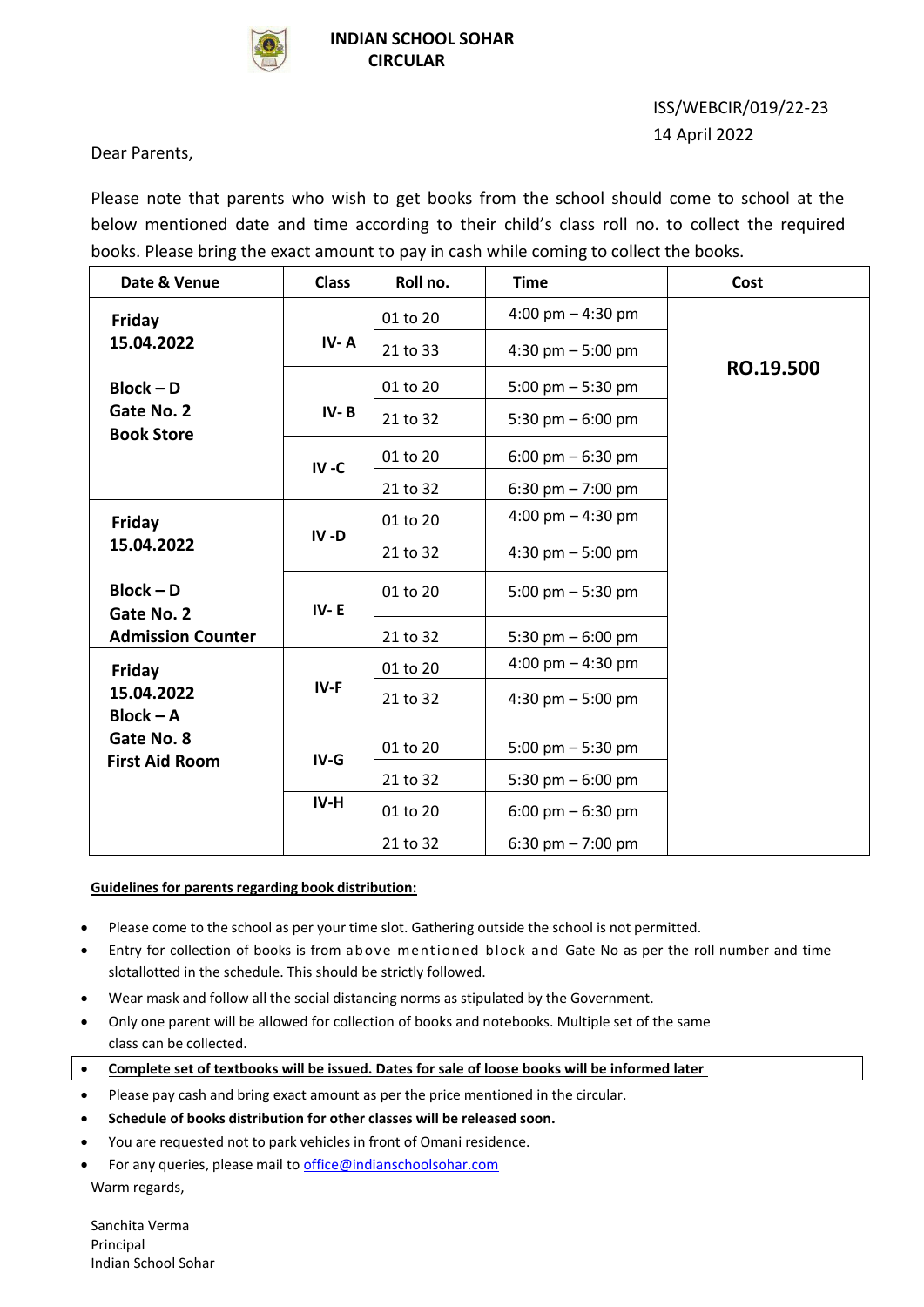

## ISS/WEBCIR/019/22-23 14 April 2022

Dear Parents,

Please note that parents who wish to get books from the school should come to school at the below mentioned date and time according to their child's class roll no. to collect the required books. Please bring the exact amount to pay in cash while coming to collect the books.

| Date & Venue                    | <b>Class</b> | Roll no. | <b>Time</b>                         | Cost      |
|---------------------------------|--------------|----------|-------------------------------------|-----------|
| Friday                          |              | 01 to 20 | 4:00 pm $-$ 4:30 pm                 |           |
| 15.04.2022                      | IV-A         | 21 to 33 | 4:30 pm $-$ 5:00 pm                 |           |
| $Block - D$                     |              | 01 to 20 | 5:00 pm $-$ 5:30 pm                 | RO.19.500 |
| Gate No. 2<br><b>Book Store</b> | $IV - B$     | 21 to 32 | 5:30 pm $-$ 6:00 pm                 |           |
|                                 | $IV - C$     | 01 to 20 | 6:00 pm $-$ 6:30 pm                 |           |
|                                 |              | 21 to 32 | 6:30 pm $- 7:00$ pm                 |           |
| Friday                          |              | 01 to 20 | 4:00 pm $-$ 4:30 pm                 |           |
| 15.04.2022                      | $IV - D$     | 21 to 32 | 4:30 pm $-$ 5:00 pm                 |           |
| $Block - D$<br>Gate No. 2       | $IV - E$     | 01 to 20 | 5:00 pm $-$ 5:30 pm                 |           |
| <b>Admission Counter</b>        |              | 21 to 32 | 5:30 pm $-6:00$ pm                  |           |
| Friday                          |              | 01 to 20 | 4:00 pm $-$ 4:30 pm                 |           |
| 15.04.2022<br>$Block - A$       | $IV-F$       | 21 to 32 | 4:30 pm $-$ 5:00 pm                 |           |
| Gate No. 8                      | $IV-G$       | 01 to 20 | 5:00 pm $-$ 5:30 pm                 |           |
| <b>First Aid Room</b>           |              | 21 to 32 | 5:30 pm $-$ 6:00 pm                 |           |
|                                 | IV-H         | 01 to 20 | $6:00 \text{ pm} - 6:30 \text{ pm}$ |           |
|                                 |              | 21 to 32 | 6:30 pm $- 7:00$ pm                 |           |

## **Guidelines for parents regarding book distribution:**

- Please come to the school as per your time slot. Gathering outside the school is not permitted.
- Entry for collection of books is from above mentioned block and Gate No as per the roll number and time slotallotted in the schedule. This should be strictly followed.
- Wear mask and follow all the social distancing norms as stipulated by the Government.
- Only one parent will be allowed for collection of books and notebooks. Multiple set of the same class can be collected.
- **Complete set of textbooks will be issued. Dates for sale of loose books will be informed later**
- Please pay cash and bring exact amount as per the price mentioned in the circular.
- **Schedule of books distribution for other classes will be released soon.**
- You are requested not to park vehicles in front of Omani residence.
- For any queries, please mail to [office@indianschoolsohar.com](mailto:office@indianschoolsohar.com) Warm regards,